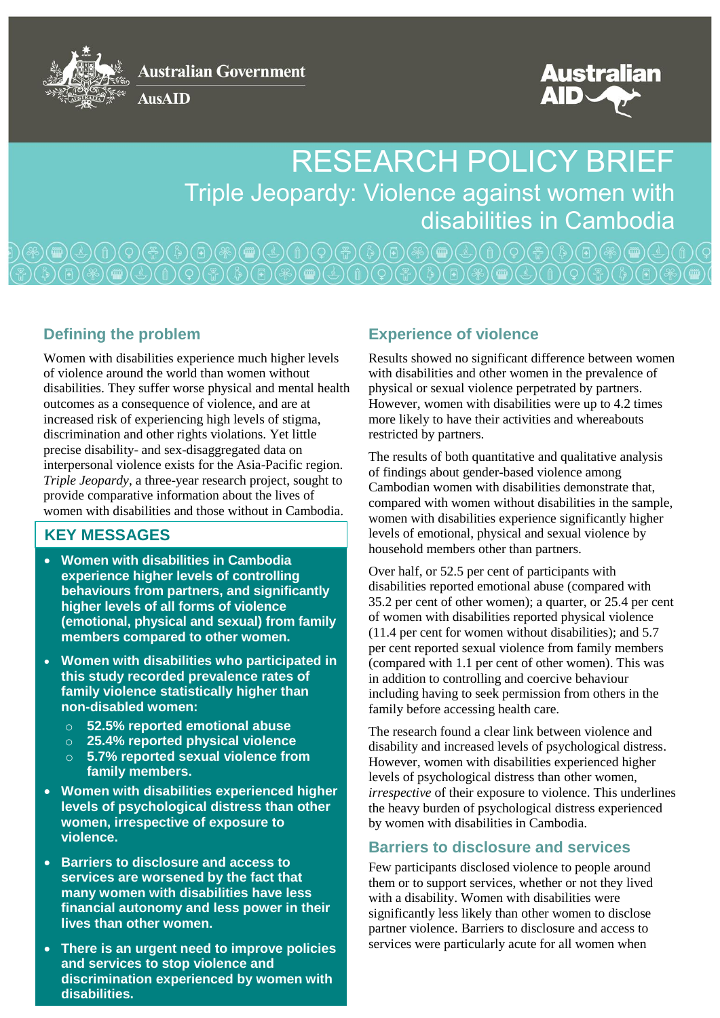**Australian Government** 

**AusAID** 



Australian

# RESEARCH POLICY BRIEF Triple Jeopardy: Violence against women with disabilities in Cambodia

## **Defining the problem**

Women with disabilities experience much higher levels of violence around the world than women without disabilities. They suffer worse physical and mental health outcomes as a consequence of violence, and are at increased risk of experiencing high levels of stigma, discrimination and other rights violations. Yet little precise disability- and sex-disaggregated data on interpersonal violence exists for the Asia-Pacific region. *Triple Jeopardy*, a three-year research project, sought to provide comparative information about the lives of women with disabilities and those without in Cambodia.

## **KEY MESSAGES**

- **Women with disabilities in Cambodia experience higher levels of controlling behaviours from partners, and significantly higher levels of all forms of violence (emotional, physical and sexual) from family members compared to other women.**
- **Women with disabilities who participated in this study recorded prevalence rates of family violence statistically higher than non-disabled women:**
	- o **52.5% reported emotional abuse**
	- o **25.4% reported physical violence**
	- o **5.7% reported sexual violence from family members.**
- **Women with disabilities experienced higher levels of psychological distress than other women, irrespective of exposure to violence.**
- **Barriers to disclosure and access to services are worsened by the fact that many women with disabilities have less financial autonomy and less power in their lives than other women.**
- **There is an urgent need to improve policies and services to stop violence and discrimination experienced by women with disabilities.**

## **Experience of violence**

Results showed no significant difference between women with disabilities and other women in the prevalence of physical or sexual violence perpetrated by partners. However, women with disabilities were up to 4.2 times more likely to have their activities and whereabouts restricted by partners.

The results of both quantitative and qualitative analysis of findings about gender-based violence among Cambodian women with disabilities demonstrate that, compared with women without disabilities in the sample, women with disabilities experience significantly higher levels of emotional, physical and sexual violence by household members other than partners.

Over half, or 52.5 per cent of participants with disabilities reported emotional abuse (compared with 35.2 per cent of other women); a quarter, or 25.4 per cent of women with disabilities reported physical violence (11.4 per cent for women without disabilities); and 5.7 per cent reported sexual violence from family members (compared with 1.1 per cent of other women). This was in addition to controlling and coercive behaviour including having to seek permission from others in the family before accessing health care.

The research found a clear link between violence and disability and increased levels of psychological distress. However, women with disabilities experienced higher levels of psychological distress than other women, *irrespective* of their exposure to violence. This underlines the heavy burden of psychological distress experienced by women with disabilities in Cambodia.

## **Barriers to disclosure and services**

Few participants disclosed violence to people around them or to support services, whether or not they lived with a disability. Women with disabilities were significantly less likely than other women to disclose partner violence. Barriers to disclosure and access to services were particularly acute for all women when